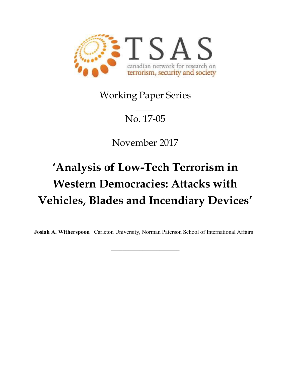

Working Paper Series

## $\mathcal{L}$ No. 17-05

November 2017

# 'Analysis of Low-Tech Terrorism in Western Democracies: Attacks with Vehicles, Blades and Incendiary Devices'

Josiah A. Witherspoon Carleton University, Norman Paterson School of International Affairs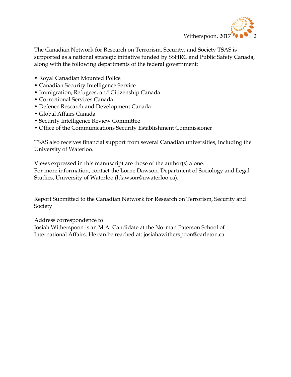

The Canadian Network for Research on Terrorism, Security, and Society TSAS is supported as a national strategic initiative funded by SSHRC and Public Safety Canada, along with the following departments of the federal government:

- Royal Canadian Mounted Police
- Canadian Security Intelligence Service
- Immigration, Refugees, and Citizenship Canada
- Correctional Services Canada
- Defence Research and Development Canada
- Global Affairs Canada
- Security Intelligence Review Committee
- Office of the Communications Security Establishment Commissioner

TSAS also receives financial support from several Canadian universities, including the University of Waterloo.

Views expressed in this manuscript are those of the author(s) alone. For more information, contact the Lorne Dawson, Department of Sociology and Legal Studies, University of Waterloo (ldawson@uwaterloo.ca).

Report Submitted to the Canadian Network for Research on Terrorism, Security and Society

Address correspondence to

Josiah Witherspoon is an M.A. Candidate at the Norman Paterson School of International Affairs. He can be reached at: josiahawitherspoon@carleton.ca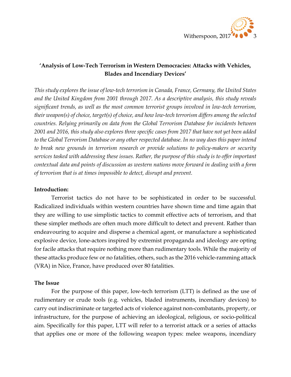

### 'Analysis of Low-Tech Terrorism in Western Democracies: Attacks with Vehicles, Blades and Incendiary Devices'

This study explores the issue of low-tech terrorism in Canada, France, Germany, the United States and the United Kingdom from 2001 through 2017. As a descriptive analysis, this study reveals significant trends, as well as the most common terrorist groups involved in low-tech terrorism, their weapon(s) of choice, target(s) of choice, and how low-tech terrorism differs among the selected countries. Relying primarily on data from the Global Terrorism Database for incidents between 2001 and 2016, this study also explores three specific cases from 2017 that have not yet been added to the Global Terrorism Database or any other respected database. In no way does this paper intend to break new grounds in terrorism research or provide solutions to policy-makers or security services tasked with addressing these issues. Rather, the purpose of this study is to offer important contextual data and points of discussion as western nations move forward in dealing with a form of terrorism that is at times impossible to detect, disrupt and prevent.

#### Introduction:

 Terrorist tactics do not have to be sophisticated in order to be successful. Radicalized individuals within western countries have shown time and time again that they are willing to use simplistic tactics to commit effective acts of terrorism, and that these simpler methods are often much more difficult to detect and prevent. Rather than endeavouring to acquire and disperse a chemical agent, or manufacture a sophisticated explosive device, lone-actors inspired by extremist propaganda and ideology are opting for facile attacks that require nothing more than rudimentary tools. While the majority of these attacks produce few or no fatalities, others, such as the 2016 vehicle-ramming attack (VRA) in Nice, France, have produced over 80 fatalities.

#### The Issue

For the purpose of this paper, low-tech terrorism (LTT) is defined as the use of rudimentary or crude tools (e.g. vehicles, bladed instruments, incendiary devices) to carry out indiscriminate or targeted acts of violence against non-combatants, property, or infrastructure, for the purpose of achieving an ideological, religious, or socio-political aim. Specifically for this paper, LTT will refer to a terrorist attack or a series of attacks that applies one or more of the following weapon types: melee weapons, incendiary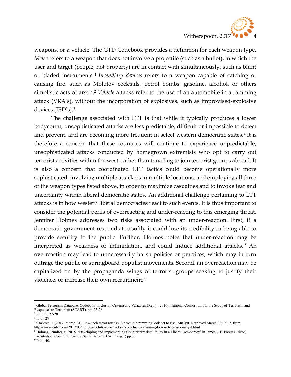

weapons, or a vehicle. The GTD Codebook provides a definition for each weapon type. Melee refers to a weapon that does not involve a projectile (such as a bullet), in which the user and target (people, not property) are in contact with simultaneously, such as blunt or bladed instruments.<sup>1</sup> Incendiary devices refers to a weapon capable of catching or causing fire, such as Molotov cocktails, petrol bombs, gasoline, alcohol, or others simplistic acts of arson.<sup>2</sup> Vehicle attacks refer to the use of an automobile in a ramming attack (VRA's), without the incorporation of explosives, such as improvised-explosive devices (IED's).<sup>3</sup>

 The challenge associated with LTT is that while it typically produces a lower bodycount, unsophisticated attacks are less predictable, difficult or impossible to detect and prevent, and are becoming more frequent in select western democratic states.<sup>4</sup> It is therefore a concern that these countries will continue to experience unpredictable, unsophisticated attacks conducted by homegrown extremists who opt to carry out terrorist activities within the west, rather than traveling to join terrorist groups abroad. It is also a concern that coordinated LTT tactics could become operationally more sophisticated, involving multiple attackers in multiple locations, and employing all three of the weapon types listed above, in order to maximize casualties and to invoke fear and uncertainty within liberal democratic states. An additional challenge pertaining to LTT attacks is in how western liberal democracies react to such events. It is thus important to consider the potential perils of overreacting and under-reacting to this emerging threat. Jennifer Holmes addresses two risks associated with an under-reaction. First, if a democratic government responds too softly it could lose its credibility in being able to provide security to the public. Further, Holmes notes that under-reaction may be interpreted as weakness or intimidation, and could induce additional attacks. <sup>5</sup> An overreaction may lead to unnecessarily harsh policies or practices, which may in turn outrage the public or springboard populist movements. Second, an overreaction may be capitalized on by the propaganda wings of terrorist groups seeking to justify their violence, or increase their own recruitment.<sup>6</sup>

 $\overline{a}$ <sup>1</sup> Global Terrorism Database: Codebook: Inclusion Criteria and Variables (Rep.). (2016). National Consortium for the Study of Terrorism and Responses to Terrorism (START). pp. 27-28

<sup>2</sup> Ibid., 5, 27-28

<sup>3</sup> Ibid., 27

<sup>4</sup> Crabtree, J. (2017, March 24). Low-tech terror attacks like vehicle-ramming look set to rise: Analyst. Retrieved March 30, 2017, from http://www.cnbc.com/2017/03/23/low-tech-terror-attacks-like-vehicle-ramming-look-set-to-rise-analyst.html

<sup>&</sup>lt;sup>5</sup> Holmes, Jennifer, S. 2015. 'Developing and Implementing Counterterrorism Policy in a Liberal Democracy' in James J. F. Forest (Editor) Essentials of Counterterrorism (Santa Barbara, CA; Praeger) pp.38

<sup>6</sup> Ibid., 40.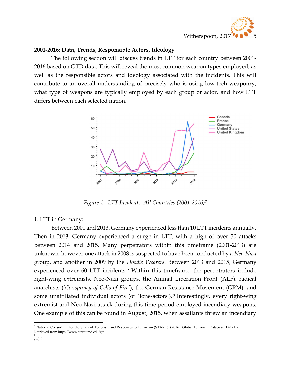

#### 2001-2016: Data, Trends, Responsible Actors, Ideology

The following section will discuss trends in LTT for each country between 2001- 2016 based on GTD data. This will reveal the most common weapon types employed, as well as the responsible actors and ideology associated with the incidents. This will contribute to an overall understanding of precisely who is using low-tech weaponry, what type of weapons are typically employed by each group or actor, and how LTT differs between each selected nation.



Figure 1 - LTT Incidents, All Countries (2001-2016)<sup>7</sup>

#### 1. LTT in Germany:

 Between 2001 and 2013, Germany experienced less than 10 LTT incidents annually. Then in 2013, Germany experienced a surge in LTT, with a high of over 50 attacks between 2014 and 2015. Many perpetrators within this timeframe (2001-2013) are unknown, however one attack in 2008 is suspected to have been conducted by a Neo-Nazi group, and another in 2009 by the Hoodie Wearers. Between 2013 and 2015, Germany experienced over 60 LTT incidents. <sup>8</sup> Within this timeframe, the perpetrators include right-wing extremists, Neo-Nazi groups, the Animal Liberation Front (ALF), radical anarchists ('Conspiracy of Cells of Fire'), the German Resistance Movement (GRM), and some unaffiliated individual actors (or 'lone-actors'). <sup>9</sup> Interestingly, every right-wing extremist and Neo-Nazi attack during this time period employed incendiary weapons. One example of this can be found in August, 2015, when assailants threw an incendiary

<sup>7</sup> National Consortium for the Study of Terrorism and Responses to Terrorism (START). (2016). Global Terrorism Database [Data file]. Retrieved from https://www.start.umd.edu/gtd

<sup>8</sup> Ibid.

<sup>&</sup>lt;sup>9</sup> Ibid.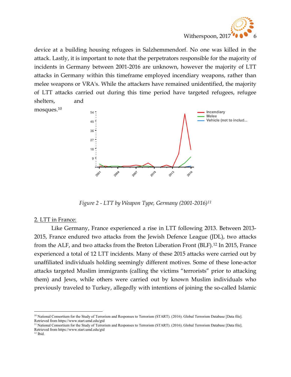

device at a building housing refugees in Salzhemmendorf. No one was killed in the attack. Lastly, it is important to note that the perpetrators responsible for the majority of incidents in Germany between 2001-2016 are unknown, however the majority of LTT attacks in Germany within this timeframe employed incendiary weapons, rather than melee weapons or VRA's. While the attackers have remained unidentified, the majority of LTT attacks carried out during this time period have targeted refugees, refugee shelters, and





Figure 2 - LTT by Weapon Type, Germany (2001-2016)<sup>11</sup>

#### 2. LTT in France:

Like Germany, France experienced a rise in LTT following 2013. Between 2013- 2015, France endured two attacks from the Jewish Defence League (JDL), two attacks from the ALF, and two attacks from the Breton Liberation Front (BLF).12 In 2015, France experienced a total of 12 LTT incidents. Many of these 2015 attacks were carried out by unaffiliated individuals holding seemingly different motives. Some of these lone-actor attacks targeted Muslim immigrants (calling the victims "terrorists" prior to attacking them) and Jews, while others were carried out by known Muslim individuals who previously traveled to Turkey, allegedly with intentions of joining the so-called Islamic

<sup>11</sup> National Consortium for the Study of Terrorism and Responses to Terrorism (START). (2016). Global Terrorism Database [Data file]. Retrieved from https://www.start.umd.edu/gtd

<sup>10</sup> National Consortium for the Study of Terrorism and Responses to Terrorism (START). (2016). Global Terrorism Database [Data file]. Retrieved from https://www.start.umd.edu/gtd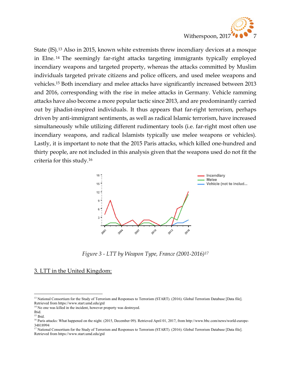

State (IS).13 Also in 2015, known white extremists threw incendiary devices at a mosque in Elne. <sup>14</sup> The seemingly far-right attacks targeting immigrants typically employed incendiary weapons and targeted property, whereas the attacks committed by Muslim individuals targeted private citizens and police officers, and used melee weapons and vehicles.15 Both incendiary and melee attacks have significantly increased between 2013 and 2016, corresponding with the rise in melee attacks in Germany. Vehicle ramming attacks have also become a more popular tactic since 2013, and are predominantly carried out by jihadist-inspired individuals. It thus appears that far-right terrorism, perhaps driven by anti-immigrant sentiments, as well as radical Islamic terrorism, have increased simultaneously while utilizing different rudimentary tools (i.e. far-right most often use incendiary weapons, and radical Islamists typically use melee weapons or vehicles). Lastly, it is important to note that the 2015 Paris attacks, which killed one-hundred and thirty people, are not included in this analysis given that the weapons used do not fit the criteria for this study.<sup>16</sup>



Figure 3 - LTT by Weapon Type, France (2001-2016)<sup>17</sup>

#### 3. LTT in the United Kingdom:

<sup>&</sup>lt;sup>13</sup> National Consortium for the Study of Terrorism and Responses to Terrorism (START). (2016). Global Terrorism Database [Data file]. Retrieved from https://www.start.umd.edu/gtd

<sup>&</sup>lt;sup>14</sup> No one was killed in the incident, however property was destroyed.

Ibid.

<sup>15</sup> Ibid.

<sup>&</sup>lt;sup>16</sup> Paris attacks: What happened on the night. (2015, December 09). Retrieved April 01, 2017, from http://www.bbc.com/news/world-europe-34818994

<sup>&</sup>lt;sup>17</sup> National Consortium for the Study of Terrorism and Responses to Terrorism (START). (2016). Global Terrorism Database [Data file]. Retrieved from https://www.start.umd.edu/gtd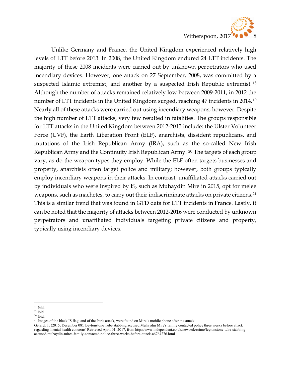

 Unlike Germany and France, the United Kingdom experienced relatively high levels of LTT before 2013. In 2008, the United Kingdom endured 24 LTT incidents. The majority of these 2008 incidents were carried out by unknown perpetrators who used incendiary devices. However, one attack on 27 September, 2008, was committed by a suspected Islamic extremist, and another by a suspected Irish Republic extremist. <sup>18</sup> Although the number of attacks remained relatively low between 2009-2011, in 2012 the number of LTT incidents in the United Kingdom surged, reaching 47 incidents in 2014.<sup>19</sup> Nearly all of these attacks were carried out using incendiary weapons, however. Despite the high number of LTT attacks, very few resulted in fatalities. The groups responsible for LTT attacks in the United Kingdom between 2012-2015 include: the Ulster Volunteer Force (UVF), the Earth Liberation Front (ELF), anarchists, dissident republicans, and mutations of the Irish Republican Army (IRA), such as the so-called New Irish Republican Army and the Continuity Irish Republican Army. 20 The targets of each group vary, as do the weapon types they employ. While the ELF often targets businesses and property, anarchists often target police and military; however, both groups typically employ incendiary weapons in their attacks. In contrast, unaffiliated attacks carried out by individuals who were inspired by IS, such as Muhaydin Mire in 2015, opt for melee weapons, such as machetes, to carry out their indiscriminate attacks on private citizens.<sup>21</sup> This is a similar trend that was found in GTD data for LTT incidents in France. Lastly, it can be noted that the majority of attacks between 2012-2016 were conducted by unknown perpetrators and unaffiliated individuals targeting private citizens and property, typically using incendiary devices.

 $\overline{a}$ <sup>18</sup> Ibid.

 $19$  Ibid.

 $20$  Ibid.

<sup>&</sup>lt;sup>21</sup> Images of the black IS flag, and of the Paris attack, were found on Mire's mobile phone after the attack.

Gerard, T. (2015, December 08). Leytonstone Tube stabbing accused Muhaydin Mire's family contacted police three weeks before attack regarding 'mental health concerns' Retrieved April 01, 2017, from http://www.independent.co.uk/news/uk/crime/leytonstone-tube-stabbingaccused-muhaydin-mires-family-contacted-police-three-weeks-before-attack-a6764276.html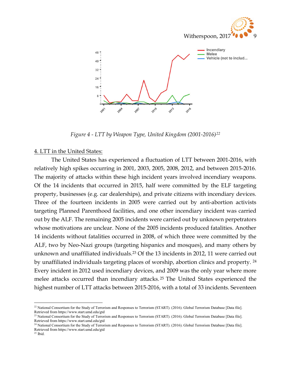



Figure 4 - LTT by Weapon Type, United Kingdom (2001-2016)<sup>22</sup>

#### 4. LTT in the United States:

 The United States has experienced a fluctuation of LTT between 2001-2016, with relatively high spikes occurring in 2001, 2003, 2005, 2008, 2012, and between 2015-2016. The majority of attacks within these high incident years involved incendiary weapons. Of the 14 incidents that occurred in 2015, half were committed by the ELF targeting property, businesses (e.g. car dealerships), and private citizens with incendiary devices. Three of the fourteen incidents in 2005 were carried out by anti-abortion activists targeting Planned Parenthood facilities, and one other incendiary incident was carried out by the ALF. The remaining 2005 incidents were carried out by unknown perpetrators whose motivations are unclear. None of the 2005 incidents produced fatalities. Another 14 incidents without fatalities occurred in 2008, of which three were committed by the ALF, two by Neo-Nazi groups (targeting hispanics and mosques), and many others by unknown and unaffiliated individuals.23 Of the 13 incidents in 2012, 11 were carried out by unaffiliated individuals targeting places of worship, abortion clinics and property. <sup>24</sup> Every incident in 2012 used incendiary devices, and 2009 was the only year where more melee attacks occurred than incendiary attacks. <sup>25</sup> The United States experienced the highest number of LTT attacks between 2015-2016, with a total of 33 incidents. Seventeen

 $\overline{a}$ <sup>22</sup> National Consortium for the Study of Terrorism and Responses to Terrorism (START). (2016). Global Terrorism Database [Data file]. Retrieved from https://www.start.umd.edu/gtd

<sup>&</sup>lt;sup>23</sup> National Consortium for the Study of Terrorism and Responses to Terrorism (START). (2016). Global Terrorism Database [Data file]. Retrieved from https://www.start.umd.edu/gtd

<sup>&</sup>lt;sup>24</sup> National Consortium for the Study of Terrorism and Responses to Terrorism (START). (2016). Global Terrorism Database [Data file]. Retrieved from https://www.start.umd.edu/gtd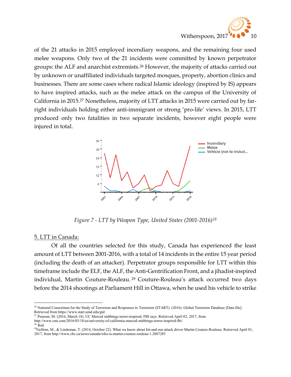

of the 21 attacks in 2015 employed incendiary weapons, and the remaining four used melee weapons. Only two of the 21 incidents were committed by known perpetrator groups: the ALF and anarchist extremists.26 However, the majority of attacks carried out by unknown or unaffiliated individuals targeted mosques, property, abortion clinics and businesses. There are some cases where radical Islamic ideology (inspired by IS) appears to have inspired attacks, such as the melee attack on the campus of the University of California in 2015.27 Nonetheless, majority of LTT attacks in 2015 were carried out by farright individuals holding either anti-immigrant or strong 'pro-life' views. In 2015, LTT produced only two fatalities in two separate incidents, however eight people were injured in total.



Figure 7 - LTT by Weapon Type, United States (2001-2016)<sup>28</sup>

#### 5. LTT in Canada:

Of all the countries selected for this study, Canada has experienced the least amount of LTT between 2001-2016, with a total of 14 incidents in the entire 15 year period (including the death of an attacker). Perpetrator groups responsible for LTT within this timeframe include the ELF, the ALF, the Anti-Gentrification Front, and a jihadist-inspired individual, Martin Couture-Rouleau. <sup>29</sup> Couture-Rouleau's attack occurred two days before the 2014 shootings at Parliament Hill in Ottawa, when he used his vehicle to strike

 $\overline{a}$ <sup>26</sup> National Consortium for the Study of Terrorism and Responses to Terrorism (START). (2016). Global Terrorism Database [Data file]. Retrieved from https://www.start.umd.edu/gtd

<sup>&</sup>lt;sup>27</sup> Pearson, M. (2016, March 18). UC Merced stabbings terror-inspired, FBI says. Retrieved April 02, 2017, from http://www.cnn.com/2016/03/18/us/university-of-california-merced-stabbings-terror-inspired-fbi/

<sup>28</sup> Ibid.

<sup>&</sup>lt;sup>29</sup>Gollom, M., & Lindeman, T. (2014, October 22). What we know about hit-and-run attack driver Martin Couture-Rouleau. Retrieved April 01, 2017, from http://www.cbc.ca/news/canada/who-is-martin-couture-rouleau-1.2807285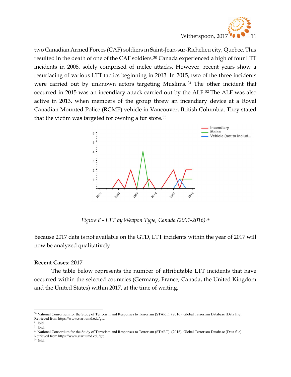

two Canadian Armed Forces (CAF) soldiers in Saint-Jean-sur-Richelieu city, Quebec. This resulted in the death of one of the CAF soldiers.30 Canada experienced a high of four LTT incidents in 2008, solely comprised of melee attacks. However, recent years show a resurfacing of various LTT tactics beginning in 2013. In 2015, two of the three incidents were carried out by unknown actors targeting Muslims. <sup>31</sup> The other incident that occurred in 2015 was an incendiary attack carried out by the ALF.32 The ALF was also active in 2013, when members of the group threw an incendiary device at a Royal Canadian Mounted Police (RCMP) vehicle in Vancouver, British Columbia. They stated that the victim was targeted for owning a fur store.<sup>33</sup>



Figure 8 - LTT by Weapon Type, Canada (2001-2016)<sup>34</sup>

Because 2017 data is not available on the GTD, LTT incidents within the year of 2017 will now be analyzed qualitatively.

#### Recent Cases: 2017

The table below represents the number of attributable LTT incidents that have occurred within the selected countries (Germany, France, Canada, the United Kingdom and the United States) within 2017, at the time of writing.

<sup>&</sup>lt;sup>30</sup> National Consortium for the Study of Terrorism and Responses to Terrorism (START). (2016). Global Terrorism Database [Data file]. Retrieved from https://www.start.umd.edu/gtd

 $31$  Ibid. <sup>32</sup> Ibid.

<sup>33</sup> National Consortium for the Study of Terrorism and Responses to Terrorism (START). (2016). Global Terrorism Database [Data file]. Retrieved from https://www.start.umd.edu/gtd

<sup>34</sup> Ibid.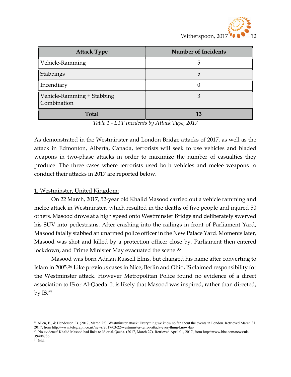

| <b>Attack Type</b>                        | <b>Number of Incidents</b> |
|-------------------------------------------|----------------------------|
| Vehicle-Ramming                           | 5                          |
| Stabbings                                 | 5                          |
| Incendiary                                |                            |
| Vehicle-Ramming + Stabbing<br>Combination | 3                          |
| <b>Total</b>                              | 13                         |

Table 1 - LTT Incidents by Attack Type, 2017

As demonstrated in the Westminster and London Bridge attacks of 2017, as well as the attack in Edmonton, Alberta, Canada, terrorists will seek to use vehicles and bladed weapons in two-phase attacks in order to maximize the number of casualties they produce. The three cases where terrorists used both vehicles and melee weapons to conduct their attacks in 2017 are reported below.

#### 1. Westminster, United Kingdom:

On 22 March, 2017, 52-year old Khalid Masood carried out a vehicle ramming and melee attack in Westminster, which resulted in the deaths of five people and injured 50 others. Masood drove at a high speed onto Westminster Bridge and deliberately swerved his SUV into pedestrians. After crashing into the railings in front of Parliament Yard, Masood fatally stabbed an unarmed police officer in the New Palace Yard. Moments later, Masood was shot and killed by a protection officer close by. Parliament then entered lockdown, and Prime Minister May evacuated the scene.<sup>35</sup>

 Masood was born Adrian Russell Elms, but changed his name after converting to Islam in 2005.36 Like previous cases in Nice, Berlin and Ohio, IS claimed responsibility for the Westminster attack. However Metropolitan Police found no evidence of a direct association to IS or Al-Qaeda. It is likely that Masood was inspired, rather than directed, by IS.<sup>37</sup>

<sup>&</sup>lt;sup>35</sup> Allen, E., & Henderson, B. (2017, March 22). Westminster attack: Everything we know so far about the events in London. Retrieved March 31, 2017, from http://www.telegraph.co.uk/news/2017/03/22/westminster-terror-attack-everything-know-far/

<sup>36</sup> 'No evidence' Khalid Masood had links to IS or al-Qaeda. (2017, March 27). Retrieved April 01, 2017, from http://www.bbc.com/news/uk-39408786

 $37$  Ibid.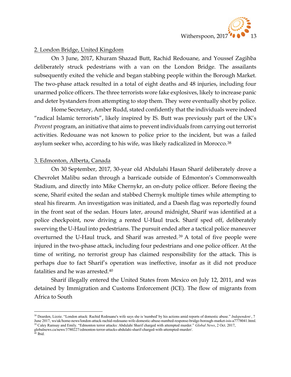

#### 2. London Bridge, United Kingdom

 On 3 June, 2017, Khuram Shazad Butt, Rachid Redouane, and Youssef Zagihba deliberately struck pedestrians with a van on the London Bridge. The assailants subsequently exited the vehicle and began stabbing people within the Borough Market. The two-phase attack resulted in a total of eight deaths and 48 injuries, including four unarmed police officers. The three terrorists wore fake explosives, likely to increase panic and deter bystanders from attempting to stop them. They were eventually shot by police.

 Home Secretary, Amber Rudd, stated confidently that the individuals were indeed "radical Islamic terrorists", likely inspired by IS. Butt was previously part of the UK's Prevent program, an initiative that aims to prevent individuals from carrying out terrorist activities. Redouane was not known to police prior to the incident, but was a failed asylum seeker who, according to his wife, was likely radicalized in Morocco.<sup>38</sup>

#### 3. Edmonton, Alberta, Canada

 On 30 September, 2017, 30-year old Abdulahi Hasan Sharif deliberately drove a Chevrolet Malibu sedan through a barricade outside of Edmonton's Commonwealth Stadium, and directly into Mike Chernykr, an on-duty police officer. Before fleeing the scene, Sharif exited the sedan and stabbed Chernyk multiple times while attempting to steal his firearm. An investigation was initiated, and a Daesh flag was reportedly found in the front seat of the sedan. Hours later, around midnight, Sharif was identified at a police checkpoint, now driving a rented U-Haul truck. Sharif sped off, deliberately swerving the U-Haul into pedestrians. The pursuit ended after a tactical police maneuver overturned the U-Haul truck, and Sharif was arrested. <sup>39</sup> A total of five people were injured in the two-phase attack, including four pedestrians and one police officer. At the time of writing, no terrorist group has claimed responsibility for the attack. This is perhaps due to fact Sharif's operation was ineffective, insofar as it did not produce fatalities and he was arrested.<sup>40</sup>

 Sharif illegally entered the United States from Mexico on July 12, 2011, and was detained by Immigration and Customs Enforcement (ICE). The flow of migrants from Africa to South

<sup>&</sup>lt;sup>38</sup> Dearden, Lizzie. "London attack: Rachid Redouane's wife says she is 'numbed' by his actions amid reports of domestic abuse." Independent, 7 June 2017, ws/uk/home-news/london-attack-rachid-redouane-wife-domestic-abuse-numbed-response-bridge-borough-market-isis-a7778041.html. <sup>39</sup> Caley Ramsay and Emily. "Edmonton terror attacks: Abdulahi Sharif charged with attempted murder." Global News, 2 Oct. 2017,

globalnews.ca/news/3780227/edmonton-terror-attacks-abdulahi-sharif-charged-with-attempted-murder/.

<sup>40</sup> Ibid.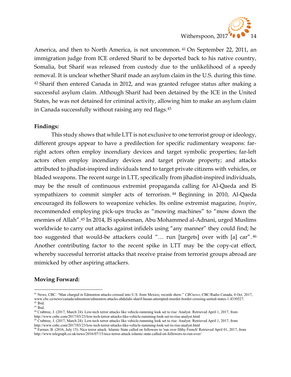

America, and then to North America, is not uncommon. 41 On September 22, 2011, an immigration judge from ICE ordered Sharif to be deported back to his native country, Somalia, but Sharif was released from custody due to the unlikelihood of a speedy removal. It is unclear whether Sharif made an asylum claim in the U.S. during this time. <sup>42</sup> Sharif then entered Canada in 2012, and was granted refugee status after making a successful asylum claim. Although Sharif had been detained by the ICE in the United States, he was not detained for criminal activity, allowing him to make an asylum claim in Canada successfully without raising any red flags.<sup>43</sup>

#### Findings:

 This study shows that while LTT is not exclusive to one terrorist group or ideology, different groups appear to have a predilection for specific rudimentary weapons: farright actors often employ incendiary devices and target symbolic properties; far-left actors often employ incendiary devices and target private property; and attacks attributed to jihadist-inspired individuals tend to target private citizens with vehicles, or bladed weapons. The recent surge in LTT, specifically from jihadist-inspired individuals, may be the result of continuous extremist propaganda calling for Al-Qaeda and IS sympathizers to commit simpler acts of terrorism. <sup>44</sup> Beginning in 2010, Al-Qaeda encouraged its followers to weaponize vehicles. Its online extremist magazine, Inspire, recommended employing pick-ups trucks as "mowing machines" to "mow down the enemies of Allah".45 In 2014, IS spokesman, Abu Mohammed al-Adnani, urged Muslims worldwide to carry out attacks against infidels using "any manner" they could find; he too suggested that would-be attackers could "… run [targets] over with [a] car". <sup>46</sup> Another contributing factor to the recent spike in LTT may be the copy-cat effect, whereby successful terrorist attacks that receive praise from terrorist groups abroad are mimicked by other aspiring attackers.

#### Moving Forward:

<sup>&</sup>lt;sup>41</sup> News, CBC. "Man charged in Edmonton attacks crossed into U.S. from Mexico, records show." CBCnews, CBC/Radio Canada, 4 Oct. 2017, www.cbc.ca/news/canada/edmonton/edmonton-attacks-abdulahi-sharif-hasan-attempted-murder-border-crossing-united-states-1.4330527. <sup>42</sup> Ibid.

 $43$  Ibid.

<sup>44</sup> Crabtree, J. (2017, March 24). Low-tech terror attacks like vehicle-ramming look set to rise: Analyst. Retrieved April 1, 2017, from http://www.cnbc.com/2017/03/23/low-tech-terror-attacks-like-vehicle-ramming-look-set-to-rise-analyst.html

<sup>45</sup> Crabtree, J. (2017, March 24). Low-tech terror attacks like vehicle-ramming look set to rise: Analyst. Retrieved April 1, 2017, from http://www.cnbc.com/2017/03/23/low-tech-terror-attacks-like-vehicle-ramming-look-set-to-rise-analyst.html

<sup>&</sup>lt;sup>46</sup> Farmer, B. (2016, July 15). Nice terror attack: Islamic State called on followers to 'run over filthy French' Retrieved April 01, 2017, from http://www.telegraph.co.uk/news/2016/07/15/nice-terror-attack-islamic-state-called-on-followers-to-run-over/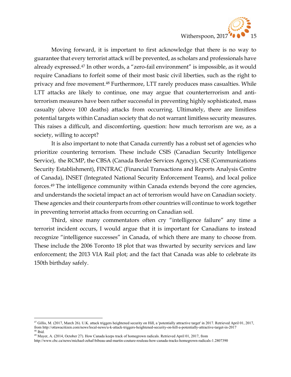

 Moving forward, it is important to first acknowledge that there is no way to guarantee that every terrorist attack will be prevented, as scholars and professionals have already expressed.47 In other words, a "zero-fail environment" is impossible, as it would require Canadians to forfeit some of their most basic civil liberties, such as the right to privacy and free movement.48 Furthermore, LTT rarely produces mass casualties. While LTT attacks are likely to continue, one may argue that counterterrorism and antiterrorism measures have been rather successful in preventing highly sophisticated, mass casualty (above 100 deaths) attacks from occurring. Ultimately, there are limitless potential targets within Canadian society that do not warrant limitless security measures. This raises a difficult, and discomforting, question: how much terrorism are we, as a society, willing to accept?

 It is also important to note that Canada currently has a robust set of agencies who prioritize countering terrorism. These include CSIS (Canadian Security Intelligence Service), the RCMP, the CBSA (Canada Border Services Agency), CSE (Communications Security Establishment), FINTRAC (Financial Transactions and Reports Analysis Centre of Canada), INSET (Integrated National Security Enforcement Teams), and local police forces.49 The intelligence community within Canada extends beyond the core agencies, and understands the societal impact an act of terrorism would have on Canadian society. These agencies and their counterparts from other countries will continue to work together in preventing terrorist attacks from occurring on Canadian soil.

 Third, since many commentators often cry "intelligence failure" any time a terrorist incident occurs, I would argue that it is important for Canadians to instead recognize "intelligence successes" in Canada, of which there are many to choose from. These include the 2006 Toronto 18 plot that was thwarted by security services and law enforcement; the 2013 VIA Rail plot; and the fact that Canada was able to celebrate its 150th birthday safely.

 $^{47}$  Gillis, M. (2017, March 26). U.K. attack triggers heightened security on Hill, a 'potentially attractive target' in 2017. Retrieved April 01, 2017, from http://ottawacitizen.com/news/local-news/u-k-attack-triggers-heightened-security-on-hill-a-potentially-attractive-target-in-2017 <sup>48</sup> Ibid.

<sup>&</sup>lt;sup>49</sup> Mayer, A. (2014, October 27). How Canada keeps track of homegrown radicals. Retrieved April 01, 2017, from

http://www.cbc.ca/news/michael-zehaf-bibeau-and-martin-couture-rouleau-how-canada-tracks-homegrown-radicals-1.2807390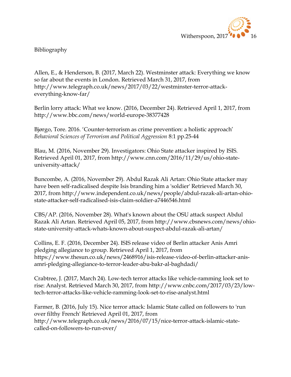

Bibliography

Allen, E., & Henderson, B. (2017, March 22). Westminster attack: Everything we know so far about the events in London. Retrieved March 31, 2017, from http://www.telegraph.co.uk/news/2017/03/22/westminster-terror-attackeverything-know-far/

Berlin lorry attack: What we know. (2016, December 24). Retrieved April 1, 2017, from http://www.bbc.com/news/world-europe-38377428

Bjørgo, Tore. 2016. 'Counter-terrorism as crime prevention: a holistic approach' Behavioral Sciences of Terrorism and Political Aggression 8:1 pp.25-44

Blau, M. (2016, November 29). Investigators: Ohio State attacker inspired by ISIS. Retrieved April 01, 2017, from http://www.cnn.com/2016/11/29/us/ohio-stateuniversity-attack/

Buncombe, A. (2016, November 29). Abdul Razak Ali Artan: Ohio State attacker may have been self-radicalised despite Isis branding him a 'soldier' Retrieved March 30, 2017, from http://www.independent.co.uk/news/people/abdul-razak-ali-artan-ohiostate-attacker-self-radicalised-isis-claim-soldier-a7446546.html

CBS/AP. (2016, November 28). What's known about the OSU attack suspect Abdul Razak Ali Artan. Retrieved April 05, 2017, from http://www.cbsnews.com/news/ohiostate-university-attack-whats-known-about-suspect-abdul-razak-ali-artan/

Collins, E. F. (2016, December 24). ISIS release video of Berlin attacker Anis Amri pledging allegiance to group. Retrieved April 1, 2017, from https://www.thesun.co.uk/news/2468916/isis-release-video-of-berlin-attacker-anisamri-pledging-allegiance-to-terror-leader-abu-bakr-al-baghdadi/

Crabtree, J. (2017, March 24). Low-tech terror attacks like vehicle-ramming look set to rise: Analyst. Retrieved March 30, 2017, from http://www.cnbc.com/2017/03/23/lowtech-terror-attacks-like-vehicle-ramming-look-set-to-rise-analyst.html

Farmer, B. (2016, July 15). Nice terror attack: Islamic State called on followers to 'run over filthy French' Retrieved April 01, 2017, from http://www.telegraph.co.uk/news/2016/07/15/nice-terror-attack-islamic-statecalled-on-followers-to-run-over/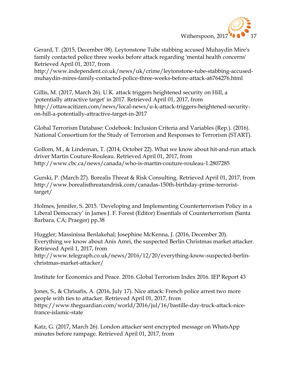

Gerard, T. (2015, December 08). Leytonstone Tube stabbing accused Muhaydin Mire's family contacted police three weeks before attack regarding 'mental health concerns' Retrieved April 01, 2017, from

http://www.independent.co.uk/news/uk/crime/leytonstone-tube-stabbing-accusedmuhaydin-mires-family-contacted-police-three-weeks-before-attack-a6764276.html

Gillis, M. (2017, March 26). U.K. attack triggers heightened security on Hill, a 'potentially attractive target' in 2017. Retrieved April 01, 2017, from http://ottawacitizen.com/news/local-news/u-k-attack-triggers-heightened-securityon-hill-a-potentially-attractive-target-in-2017

Global Terrorism Database: Codebook: Inclusion Criteria and Variables (Rep.). (2016). National Consortium for the Study of Terrorism and Responses to Terrorism (START).

Gollom, M., & Lindeman, T. (2014, October 22). What we know about hit-and-run attack driver Martin Couture-Rouleau. Retrieved April 01, 2017, from http://www.cbc.ca/news/canada/who-is-martin-couture-rouleau-1.2807285

Gurski, P. (March 27). Borealis Threat & Risk Consulting. Retrieved April 01, 2017, from http://www.borealisthreatandrisk.com/canadas-150th-birthday-prime-terroristtarget/

Holmes, Jennifer, S. 2015. 'Developing and Implementing Counterterrorism Policy in a Liberal Democracy' in James J. F. Forest (Editor) Essentials of Counterterrorism (Santa Barbara, CA; Praeger) pp.38

Huggler; Massinissa Benlakehal; Josephine McKenna, J. (2016, December 20). Everything we know about Anis Amri, the suspected Berlin Christmas market attacker. Retrieved April 1, 2017, from http://www.telegraph.co.uk/news/2016/12/20/everything-know-suspected-berlinchristmas-market-attacker/

Institute for Economics and Peace. 2016. Global Terrorism Index 2016. IEP Report 43

Jones, S., & Chrisafis, A. (2016, July 17). Nice attack: French police arrest two more people with ties to attacker. Retrieved April 01, 2017, from https://www.theguardian.com/world/2016/jul/16/bastille-day-truck-attack-nicefrance-islamic-state

Katz, G. (2017, March 26). London attacker sent encrypted message on WhatsApp minutes before rampage. Retrieved April 01, 2017, from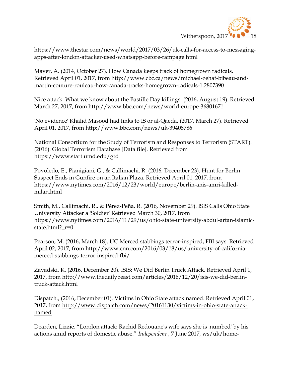

https://www.thestar.com/news/world/2017/03/26/uk-calls-for-access-to-messagingapps-after-london-attacker-used-whatsapp-before-rampage.html

Mayer, A. (2014, October 27). How Canada keeps track of homegrown radicals. Retrieved April 01, 2017, from http://www.cbc.ca/news/michael-zehaf-bibeau-andmartin-couture-rouleau-how-canada-tracks-homegrown-radicals-1.2807390

Nice attack: What we know about the Bastille Day killings. (2016, August 19). Retrieved March 27, 2017, from http://www.bbc.com/news/world-europe-36801671

'No evidence' Khalid Masood had links to IS or al-Qaeda. (2017, March 27). Retrieved April 01, 2017, from http://www.bbc.com/news/uk-39408786

National Consortium for the Study of Terrorism and Responses to Terrorism (START). (2016). Global Terrorism Database [Data file]. Retrieved from https://www.start.umd.edu/gtd

Povoledo, E., Pianigiani, G., & Callimachi, R. (2016, December 23). Hunt for Berlin Suspect Ends in Gunfire on an Italian Plaza. Retrieved April 01, 2017, from https://www.nytimes.com/2016/12/23/world/europe/berlin-anis-amri-killedmilan.html

Smith, M., Callimachi, R., & Pérez-Peña, R. (2016, November 29). ISIS Calls Ohio State University Attacker a 'Soldier' Retrieved March 30, 2017, from https://www.nytimes.com/2016/11/29/us/ohio-state-university-abdul-artan-islamicstate.html?\_r=0

Pearson, M. (2016, March 18). UC Merced stabbings terror-inspired, FBI says. Retrieved April 02, 2017, from http://www.cnn.com/2016/03/18/us/university-of-californiamerced-stabbings-terror-inspired-fbi/

Zavadski, K. (2016, December 20). ISIS: We Did Berlin Truck Attack. Retrieved April 1, 2017, from http://www.thedailybeast.com/articles/2016/12/20/isis-we-did-berlintruck-attack.html

Dispatch., (2016, December 01). Victims in Ohio State attack named. Retrieved April 01, 2017, from http://www.dispatch.com/news/20161130/victims-in-ohio-state-attacknamed

Dearden, Lizzie. "London attack: Rachid Redouane's wife says she is 'numbed' by his actions amid reports of domestic abuse." Independent , 7 June 2017, ws/uk/home-